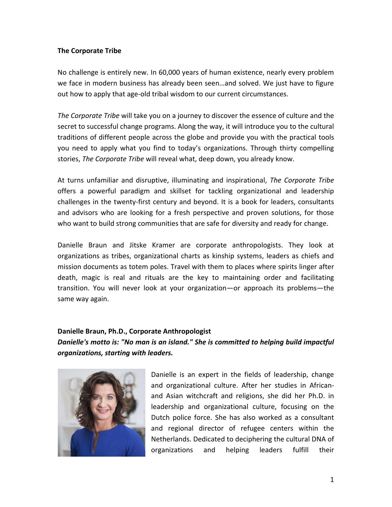## **The Corporate Tribe**

No challenge is entirely new. In 60,000 years of human existence, nearly every problem we face in modern business has already been seen…and solved. We just have to figure out how to apply that age-old tribal wisdom to our current circumstances.

*The Corporate Tribe* will take you on a journey to discover the essence of culture and the secret to successful change programs. Along the way, it will introduce you to the cultural traditions of different people across the globe and provide you with the practical tools you need to apply what you find to today's organizations. Through thirty compelling stories, *The Corporate Tribe* will reveal what, deep down, you already know.

At turns unfamiliar and disruptive, illuminating and inspirational, *The Corporate Tribe*  offers a powerful paradigm and skillset for tackling organizational and leadership challenges in the twenty-first century and beyond. It is a book for leaders, consultants and advisors who are looking for a fresh perspective and proven solutions, for those who want to build strong communities that are safe for diversity and ready for change.

Danielle Braun and Jitske Kramer are corporate anthropologists. They look at organizations as tribes, organizational charts as kinship systems, leaders as chiefs and mission documents as totem poles. Travel with them to places where spirits linger after death, magic is real and rituals are the key to maintaining order and facilitating transition. You will never look at your organization—or approach its problems—the same way again.

## **Danielle Braun, Ph.D., Corporate Anthropologist**

*Danielle's motto is: "No man is an island." She is committed to helping build impactful organizations, starting with leaders.*



Danielle is an expert in the fields of leadership, change and organizational culture. After her studies in Africanand Asian witchcraft and religions, she did her Ph.D. in leadership and organizational culture, focusing on the Dutch police force. She has also worked as a consultant and regional director of refugee centers within the Netherlands. Dedicated to deciphering the cultural DNA of organizations and helping leaders fulfill their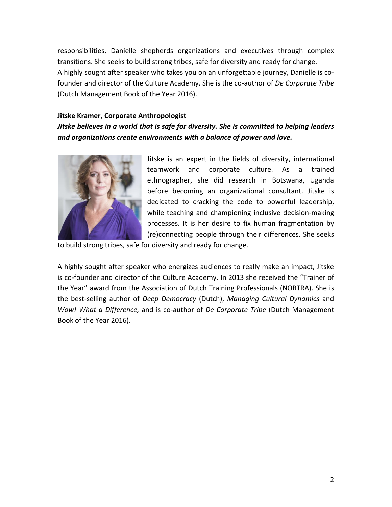responsibilities, Danielle shepherds organizations and executives through complex transitions. She seeks to build strong tribes, safe for diversity and ready for change. A highly sought after speaker who takes you on an unforgettable journey, Danielle is cofounder and director of the Culture Academy. She is the co-author of *De Corporate Tribe* (Dutch Management Book of the Year 2016).

## **Jitske Kramer, Corporate Anthropologist**

*Jitske believes in a world that is safe for diversity. She is committed to helping leaders and organizations create environments with a balance of power and love.*



Jitske is an expert in the fields of diversity, international teamwork and corporate culture. As a trained ethnographer, she did research in Botswana, Uganda before becoming an organizational consultant. Jitske is dedicated to cracking the code to powerful leadership, while teaching and championing inclusive decision-making processes. It is her desire to fix human fragmentation by (re)connecting people through their differences. She seeks

to build strong tribes, safe for diversity and ready for change.

A highly sought after speaker who energizes audiences to really make an impact, Jitske is co-founder and director of the Culture Academy. In 2013 she received the "Trainer of the Year" award from the Association of Dutch Training Professionals (NOBTRA). She is the best-selling author of *Deep Democracy* (Dutch), *Managing Cultural Dynamics* and *Wow! What a Difference,* and is co-author of *De Corporate Tribe* (Dutch Management Book of the Year 2016).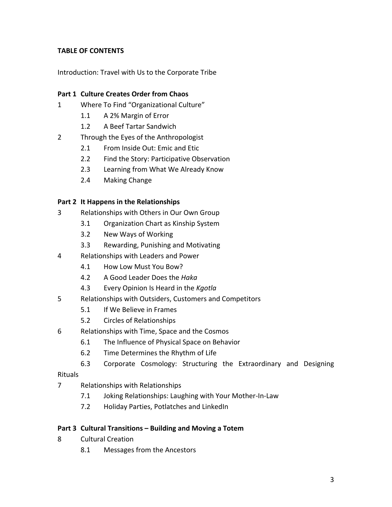# **TABLE OF CONTENTS**

Introduction: Travel with Us to the Corporate Tribe

# **Part 1 Culture Creates Order from Chaos**

- 1 Where To Find "Organizational Culture"
	- 1.1 A 2% Margin of Error
	- 1.2 A Beef Tartar Sandwich
- 2 Through the Eyes of the Anthropologist
	- 2.1 From Inside Out: Emic and Etic
	- 2.2 Find the Story: Participative Observation
	- 2.3 Learning from What We Already Know
	- 2.4 Making Change

## **Part 2 It Happens in the Relationships**

- 3 Relationships with Others in Our Own Group
	- 3.1 Organization Chart as Kinship System
	- 3.2 New Ways of Working
	- 3.3 Rewarding, Punishing and Motivating
- 4 Relationships with Leaders and Power
	- 4.1 How Low Must You Bow?
	- 4.2 A Good Leader Does the *Haka*
	- 4.3 Every Opinion Is Heard in the *Kgotla*
- 5 Relationships with Outsiders, Customers and Competitors
	- 5.1 If We Believe in Frames
	- 5.2 Circles of Relationships
- 6 Relationships with Time, Space and the Cosmos
	- 6.1 The Influence of Physical Space on Behavior
	- 6.2 Time Determines the Rhythm of Life
	- 6.3 Corporate Cosmology: Structuring the Extraordinary and Designing

Rituals

- 7 Relationships with Relationships
	- 7.1 Joking Relationships: Laughing with Your Mother-In-Law
	- 7.2 Holiday Parties, Potlatches and LinkedIn

## **Part 3 Cultural Transitions – Building and Moving a Totem**

- 8 Cultural Creation
	- 8.1 Messages from the Ancestors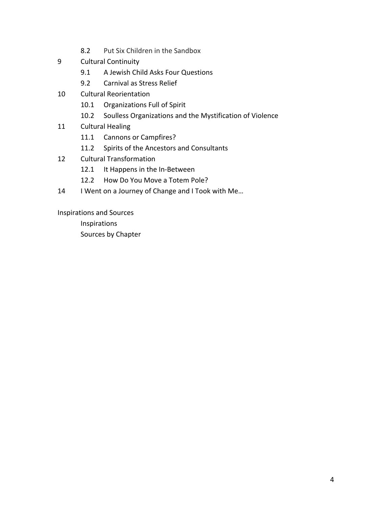- 8.2 Put Six Children in the Sandbox
- 9 Cultural Continuity
	- 9.1 A Jewish Child Asks Four Questions
	- 9.2 Carnival as Stress Relief
- 10 Cultural Reorientation
	- 10.1 Organizations Full of Spirit
	- 10.2 Soulless Organizations and the Mystification of Violence
- 11 Cultural Healing
	- 11.1 Cannons or Campfires?
	- 11.2 Spirits of the Ancestors and Consultants
- 12 Cultural Transformation
	- 12.1 It Happens in the In-Between
	- 12.2 How Do You Move a Totem Pole?
- 14 I Went on a Journey of Change and I Took with Me...

Inspirations and Sources

Inspirations Sources by Chapter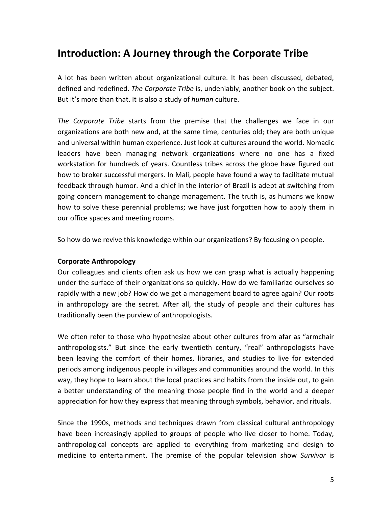# **Introduction: A Journey through the Corporate Tribe**

A lot has been written about organizational culture. It has been discussed, debated, defined and redefined. *The Corporate Tribe* is, undeniably, another book on the subject. But it's more than that. It is also a study of *human* culture.

*The Corporate Tribe* starts from the premise that the challenges we face in our organizations are both new and, at the same time, centuries old; they are both unique and universal within human experience. Just look at cultures around the world. Nomadic leaders have been managing network organizations where no one has a fixed workstation for hundreds of years. Countless tribes across the globe have figured out how to broker successful mergers. In Mali, people have found a way to facilitate mutual feedback through humor. And a chief in the interior of Brazil is adept at switching from going concern management to change management. The truth is, as humans we know how to solve these perennial problems; we have just forgotten how to apply them in our office spaces and meeting rooms.

So how do we revive this knowledge within our organizations? By focusing on people.

#### **Corporate Anthropology**

Our colleagues and clients often ask us how we can grasp what is actually happening under the surface of their organizations so quickly. How do we familiarize ourselves so rapidly with a new job? How do we get a management board to agree again? Our roots in anthropology are the secret. After all, the study of people and their cultures has traditionally been the purview of anthropologists.

We often refer to those who hypothesize about other cultures from afar as "armchair anthropologists." But since the early twentieth century, "real" anthropologists have been leaving the comfort of their homes, libraries, and studies to live for extended periods among indigenous people in villages and communities around the world. In this way, they hope to learn about the local practices and habits from the inside out, to gain a better understanding of the meaning those people find in the world and a deeper appreciation for how they express that meaning through symbols, behavior, and rituals.

Since the 1990s, methods and techniques drawn from classical cultural anthropology have been increasingly applied to groups of people who live closer to home. Today, anthropological concepts are applied to everything from marketing and design to medicine to entertainment. The premise of the popular television show *Survivor* is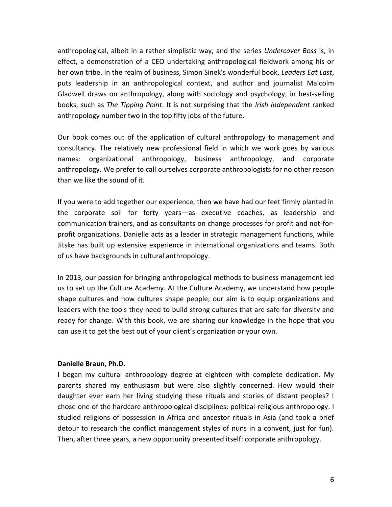anthropological, albeit in a rather simplistic way, and the series *Undercover Boss* is, in effect, a demonstration of a CEO undertaking anthropological fieldwork among his or her own tribe. In the realm of business, Simon Sinek's wonderful book, *Leaders Eat Last*, puts leadership in an anthropological context, and author and journalist Malcolm Gladwell draws on anthropology, along with sociology and psychology, in best-selling books, such as *The Tipping Point*. It is not surprising that the *Irish Independent* ranked anthropology number two in the top fifty jobs of the future.

Our book comes out of the application of cultural anthropology to management and consultancy. The relatively new professional field in which we work goes by various names: organizational anthropology, business anthropology, and corporate anthropology. We prefer to call ourselves corporate anthropologists for no other reason than we like the sound of it.

If you were to add together our experience, then we have had our feet firmly planted in the corporate soil for forty years—as executive coaches, as leadership and communication trainers, and as consultants on change processes for profit and not-forprofit organizations. Danielle acts as a leader in strategic management functions, while Jitske has built up extensive experience in international organizations and teams. Both of us have backgrounds in cultural anthropology.

In 2013, our passion for bringing anthropological methods to business management led us to set up the Culture Academy. At the Culture Academy, we understand how people shape cultures and how cultures shape people; our aim is to equip organizations and leaders with the tools they need to build strong cultures that are safe for diversity and ready for change. With this book, we are sharing our knowledge in the hope that you can use it to get the best out of your client's organization or your own.

#### **Danielle Braun, Ph.D.**

I began my cultural anthropology degree at eighteen with complete dedication. My parents shared my enthusiasm but were also slightly concerned. How would their daughter ever earn her living studying these rituals and stories of distant peoples? I chose one of the hardcore anthropological disciplines: political-religious anthropology. I studied religions of possession in Africa and ancestor rituals in Asia (and took a brief detour to research the conflict management styles of nuns in a convent, just for fun). Then, after three years, a new opportunity presented itself: corporate anthropology.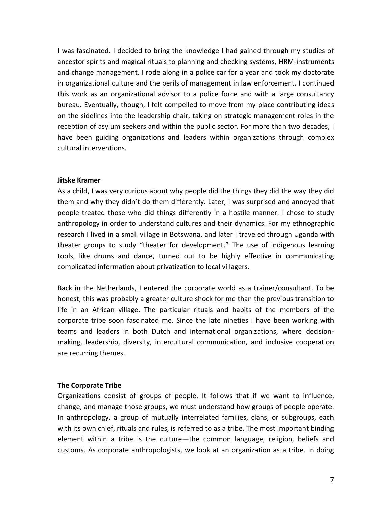I was fascinated. I decided to bring the knowledge I had gained through my studies of ancestor spirits and magical rituals to planning and checking systems, HRM-instruments and change management. I rode along in a police car for a year and took my doctorate in organizational culture and the perils of management in law enforcement. I continued this work as an organizational advisor to a police force and with a large consultancy bureau. Eventually, though, I felt compelled to move from my place contributing ideas on the sidelines into the leadership chair, taking on strategic management roles in the reception of asylum seekers and within the public sector. For more than two decades, I have been guiding organizations and leaders within organizations through complex cultural interventions.

#### **Jitske Kramer**

As a child, I was very curious about why people did the things they did the way they did them and why they didn't do them differently. Later, I was surprised and annoyed that people treated those who did things differently in a hostile manner. I chose to study anthropology in order to understand cultures and their dynamics. For my ethnographic research I lived in a small village in Botswana, and later I traveled through Uganda with theater groups to study "theater for development." The use of indigenous learning tools, like drums and dance, turned out to be highly effective in communicating complicated information about privatization to local villagers.

Back in the Netherlands, I entered the corporate world as a trainer/consultant. To be honest, this was probably a greater culture shock for me than the previous transition to life in an African village. The particular rituals and habits of the members of the corporate tribe soon fascinated me. Since the late nineties I have been working with teams and leaders in both Dutch and international organizations, where decisionmaking, leadership, diversity, intercultural communication, and inclusive cooperation are recurring themes.

#### **The Corporate Tribe**

Organizations consist of groups of people. It follows that if we want to influence, change, and manage those groups, we must understand how groups of people operate. In anthropology, a group of mutually interrelated families, clans, or subgroups, each with its own chief, rituals and rules, is referred to as a tribe. The most important binding element within a tribe is the culture—the common language, religion, beliefs and customs. As corporate anthropologists, we look at an organization as a tribe. In doing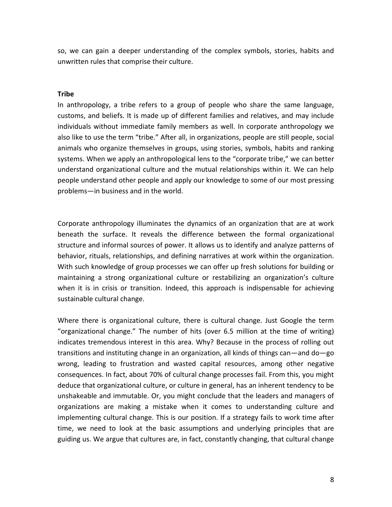so, we can gain a deeper understanding of the complex symbols, stories, habits and unwritten rules that comprise their culture.

#### **Tribe**

In anthropology, a tribe refers to a group of people who share the same language, customs, and beliefs. It is made up of different families and relatives, and may include individuals without immediate family members as well. In corporate anthropology we also like to use the term "tribe." After all, in organizations, people are still people, social animals who organize themselves in groups, using stories, symbols, habits and ranking systems. When we apply an anthropological lens to the "corporate tribe," we can better understand organizational culture and the mutual relationships within it. We can help people understand other people and apply our knowledge to some of our most pressing problems—in business and in the world.

Corporate anthropology illuminates the dynamics of an organization that are at work beneath the surface. It reveals the difference between the formal organizational structure and informal sources of power. It allows us to identify and analyze patterns of behavior, rituals, relationships, and defining narratives at work within the organization. With such knowledge of group processes we can offer up fresh solutions for building or maintaining a strong organizational culture or restabilizing an organization's culture when it is in crisis or transition. Indeed, this approach is indispensable for achieving sustainable cultural change.

Where there is organizational culture, there is cultural change. Just Google the term "organizational change." The number of hits (over 6.5 million at the time of writing) indicates tremendous interest in this area. Why? Because in the process of rolling out transitions and instituting change in an organization, all kinds of things can—and do—go wrong, leading to frustration and wasted capital resources, among other negative consequences. In fact, about 70% of cultural change processes fail. From this, you might deduce that organizational culture, or culture in general, has an inherent tendency to be unshakeable and immutable. Or, you might conclude that the leaders and managers of organizations are making a mistake when it comes to understanding culture and implementing cultural change. This is our position. If a strategy fails to work time after time, we need to look at the basic assumptions and underlying principles that are guiding us. We argue that cultures are, in fact, constantly changing, that cultural change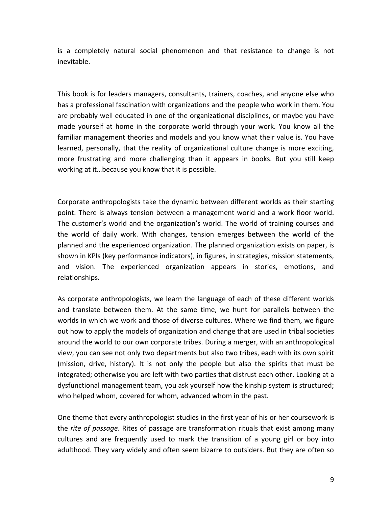is a completely natural social phenomenon and that resistance to change is not inevitable.

This book is for leaders managers, consultants, trainers, coaches, and anyone else who has a professional fascination with organizations and the people who work in them. You are probably well educated in one of the organizational disciplines, or maybe you have made yourself at home in the corporate world through your work. You know all the familiar management theories and models and you know what their value is. You have learned, personally, that the reality of organizational culture change is more exciting, more frustrating and more challenging than it appears in books. But you still keep working at it…because you know that it is possible.

Corporate anthropologists take the dynamic between different worlds as their starting point. There is always tension between a management world and a work floor world. The customer's world and the organization's world. The world of training courses and the world of daily work. With changes, tension emerges between the world of the planned and the experienced organization. The planned organization exists on paper, is shown in KPIs (key performance indicators), in figures, in strategies, mission statements, and vision. The experienced organization appears in stories, emotions, and relationships.

As corporate anthropologists, we learn the language of each of these different worlds and translate between them. At the same time, we hunt for parallels between the worlds in which we work and those of diverse cultures. Where we find them, we figure out how to apply the models of organization and change that are used in tribal societies around the world to our own corporate tribes. During a merger, with an anthropological view, you can see not only two departments but also two tribes, each with its own spirit (mission, drive, history). It is not only the people but also the spirits that must be integrated; otherwise you are left with two parties that distrust each other. Looking at a dysfunctional management team, you ask yourself how the kinship system is structured; who helped whom, covered for whom, advanced whom in the past.

One theme that every anthropologist studies in the first year of his or her coursework is the *rite of passage*. Rites of passage are transformation rituals that exist among many cultures and are frequently used to mark the transition of a young girl or boy into adulthood. They vary widely and often seem bizarre to outsiders. But they are often so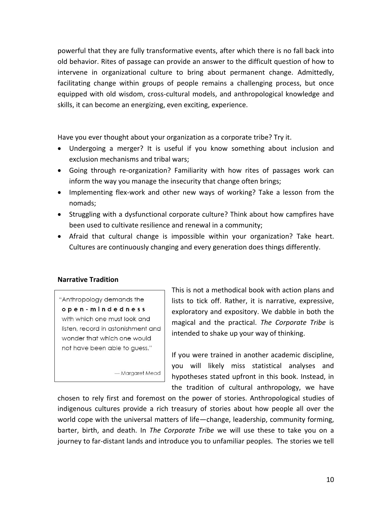powerful that they are fully transformative events, after which there is no fall back into old behavior. Rites of passage can provide an answer to the difficult question of how to intervene in organizational culture to bring about permanent change. Admittedly, facilitating change within groups of people remains a challenging process, but once equipped with old wisdom, cross-cultural models, and anthropological knowledge and skills, it can become an energizing, even exciting, experience.

Have you ever thought about your organization as a corporate tribe? Try it.

- Undergoing a merger? It is useful if you know something about inclusion and exclusion mechanisms and tribal wars;
- Going through re-organization? Familiarity with how rites of passages work can inform the way you manage the insecurity that change often brings;
- Implementing flex-work and other new ways of working? Take a lesson from the nomads;
- Struggling with a dysfunctional corporate culture? Think about how campfires have been used to cultivate resilience and renewal in a community;
- Afraid that cultural change is impossible within your organization? Take heart. Cultures are continuously changing and every generation does things differently.

## **Narrative Tradition**

"Anthropology demands the open-mindedness with which one must look and listen, record in astonishment and wonder that which one would not have been able to guess."

- Margaret Mead

This is not a methodical book with action plans and lists to tick off. Rather, it is narrative, expressive, exploratory and expository. We dabble in both the magical and the practical. *The Corporate Tribe* is intended to shake up your way of thinking.

If you were trained in another academic discipline, you will likely miss statistical analyses and hypotheses stated upfront in this book. Instead, in the tradition of cultural anthropology, we have

chosen to rely first and foremost on the power of stories. Anthropological studies of indigenous cultures provide a rich treasury of stories about how people all over the world cope with the universal matters of life—change, leadership, community forming, barter, birth, and death. In *The Corporate Tribe* we will use these to take you on a journey to far-distant lands and introduce you to unfamiliar peoples. The stories we tell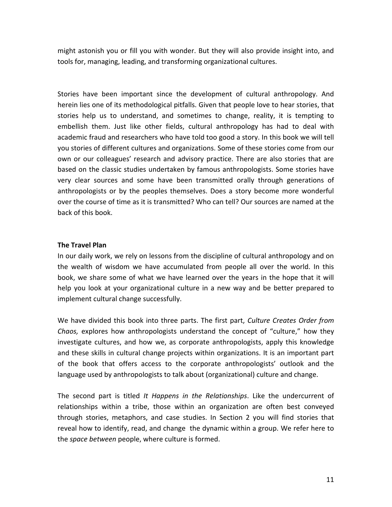might astonish you or fill you with wonder. But they will also provide insight into, and tools for, managing, leading, and transforming organizational cultures.

Stories have been important since the development of cultural anthropology. And herein lies one of its methodological pitfalls. Given that people love to hear stories, that stories help us to understand, and sometimes to change, reality, it is tempting to embellish them. Just like other fields, cultural anthropology has had to deal with academic fraud and researchers who have told too good a story. In this book we will tell you stories of different cultures and organizations. Some of these stories come from our own or our colleagues' research and advisory practice. There are also stories that are based on the classic studies undertaken by famous anthropologists. Some stories have very clear sources and some have been transmitted orally through generations of anthropologists or by the peoples themselves. Does a story become more wonderful over the course of time as it is transmitted? Who can tell? Our sources are named at the back of this book.

## **The Travel Plan**

In our daily work, we rely on lessons from the discipline of cultural anthropology and on the wealth of wisdom we have accumulated from people all over the world. In this book, we share some of what we have learned over the years in the hope that it will help you look at your organizational culture in a new way and be better prepared to implement cultural change successfully.

We have divided this book into three parts. The first part, *Culture Creates Order from Chaos,* explores how anthropologists understand the concept of "culture," how they investigate cultures, and how we, as corporate anthropologists, apply this knowledge and these skills in cultural change projects within organizations. It is an important part of the book that offers access to the corporate anthropologists' outlook and the language used by anthropologists to talk about (organizational) culture and change.

The second part is titled *It Happens in the Relationships*. Like the undercurrent of relationships within a tribe, those within an organization are often best conveyed through stories, metaphors, and case studies. In Section 2 you will find stories that reveal how to identify, read, and change the dynamic within a group. We refer here to the *space between* people, where culture is formed.